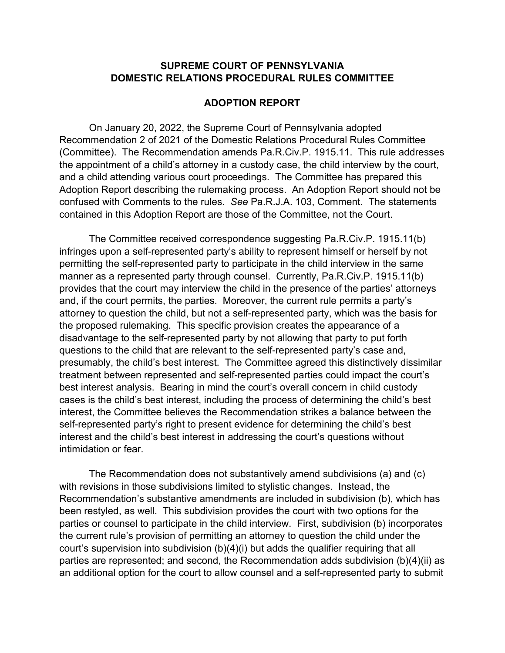## **SUPREME COURT OF PENNSYLVANIA DOMESTIC RELATIONS PROCEDURAL RULES COMMITTEE**

## **ADOPTION REPORT**

On January 20, 2022, the Supreme Court of Pennsylvania adopted Recommendation 2 of 2021 of the Domestic Relations Procedural Rules Committee (Committee). The Recommendation amends Pa.R.Civ.P. 1915.11. This rule addresses the appointment of a child's attorney in a custody case, the child interview by the court, and a child attending various court proceedings. The Committee has prepared this Adoption Report describing the rulemaking process. An Adoption Report should not be confused with Comments to the rules. *See* Pa.R.J.A. 103, Comment. The statements contained in this Adoption Report are those of the Committee, not the Court.

The Committee received correspondence suggesting Pa.R.Civ.P. 1915.11(b) infringes upon a self-represented party's ability to represent himself or herself by not permitting the self-represented party to participate in the child interview in the same manner as a represented party through counsel. Currently, Pa.R.Civ.P. 1915.11(b) provides that the court may interview the child in the presence of the parties' attorneys and, if the court permits, the parties. Moreover, the current rule permits a party's attorney to question the child, but not a self-represented party, which was the basis for the proposed rulemaking. This specific provision creates the appearance of a disadvantage to the self-represented party by not allowing that party to put forth questions to the child that are relevant to the self-represented party's case and, presumably, the child's best interest. The Committee agreed this distinctively dissimilar treatment between represented and self-represented parties could impact the court's best interest analysis. Bearing in mind the court's overall concern in child custody cases is the child's best interest, including the process of determining the child's best interest, the Committee believes the Recommendation strikes a balance between the self-represented party's right to present evidence for determining the child's best interest and the child's best interest in addressing the court's questions without intimidation or fear.

The Recommendation does not substantively amend subdivisions (a) and (c) with revisions in those subdivisions limited to stylistic changes. Instead, the Recommendation's substantive amendments are included in subdivision (b), which has been restyled, as well. This subdivision provides the court with two options for the parties or counsel to participate in the child interview. First, subdivision (b) incorporates the current rule's provision of permitting an attorney to question the child under the court's supervision into subdivision (b)(4)(i) but adds the qualifier requiring that all parties are represented; and second, the Recommendation adds subdivision (b)(4)(ii) as an additional option for the court to allow counsel and a self-represented party to submit